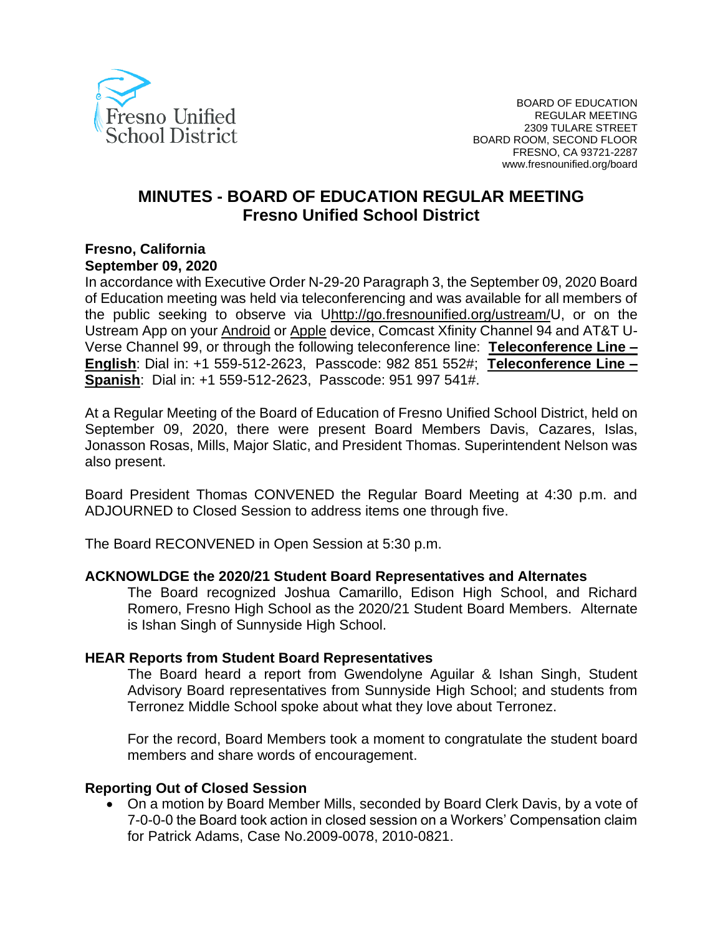

# **MINUTES - BOARD OF EDUCATION REGULAR MEETING Fresno Unified School District**

#### **Fresno, California September 09, 2020**

In accordance with Executive Order N-29-20 Paragraph 3, the September 09, 2020 Board of Education meeting was held via teleconferencing and was available for all members of the public seeking to observe via [Uhttp://go.fresnounified.org/ustream/U](http://go.fresnounified.org/ustream/), or on the Ustream App on your [Android](https://play.google.com/store/apps/details?id=tv.ustream.ustream&hl=en_US) or [Apple](https://itunes.apple.com/us/app/ustream/id301520250?mt=8) device, Comcast Xfinity Channel 94 and AT&T U-Verse Channel 99, or through the following teleconference line: **Teleconference Line – English**: Dial in: +1 559-512-2623, Passcode: 982 851 552#; **Teleconference Line – Spanish**: Dial in: +1 559-512-2623, Passcode: 951 997 541#.

At a Regular Meeting of the Board of Education of Fresno Unified School District, held on September 09, 2020, there were present Board Members Davis, Cazares, Islas, Jonasson Rosas, Mills, Major Slatic, and President Thomas. Superintendent Nelson was also present.

Board President Thomas CONVENED the Regular Board Meeting at 4:30 p.m. and ADJOURNED to Closed Session to address items one through five.

The Board RECONVENED in Open Session at 5:30 p.m.

#### **ACKNOWLDGE the 2020/21 Student Board Representatives and Alternates**

The Board recognized Joshua Camarillo, Edison High School, and Richard Romero, Fresno High School as the 2020/21 Student Board Members. Alternate is Ishan Singh of Sunnyside High School.

#### **HEAR Reports from Student Board Representatives**

The Board heard a report from Gwendolyne Aguilar & Ishan Singh, Student Advisory Board representatives from Sunnyside High School; and students from Terronez Middle School spoke about what they love about Terronez.

For the record, Board Members took a moment to congratulate the student board members and share words of encouragement.

#### **Reporting Out of Closed Session**

• On a motion by Board Member Mills, seconded by Board Clerk Davis, by a vote of 7-0-0-0 the Board took action in closed session on a Workers' Compensation claim for Patrick Adams, Case No.2009-0078, 2010-0821.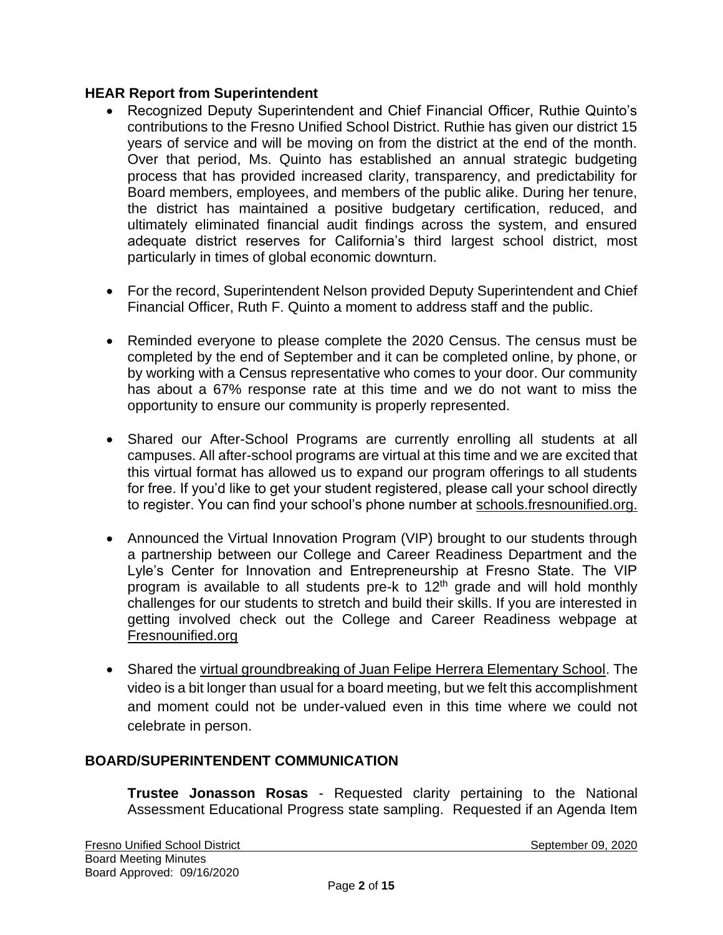#### **HEAR Report from Superintendent**

- Recognized Deputy Superintendent and Chief Financial Officer, Ruthie Quinto's contributions to the Fresno Unified School District. Ruthie has given our district 15 years of service and will be moving on from the district at the end of the month. Over that period, Ms. Quinto has established an annual strategic budgeting process that has provided increased clarity, transparency, and predictability for Board members, employees, and members of the public alike. During her tenure, the district has maintained a positive budgetary certification, reduced, and ultimately eliminated financial audit findings across the system, and ensured adequate district reserves for California's third largest school district, most particularly in times of global economic downturn.
- For the record, Superintendent Nelson provided Deputy Superintendent and Chief Financial Officer, Ruth F. Quinto a moment to address staff and the public.
- Reminded everyone to please complete the 2020 Census. The census must be completed by the end of September and it can be completed online, by phone, or by working with a Census representative who comes to your door. Our community has about a 67% response rate at this time and we do not want to miss the opportunity to ensure our community is properly represented.
- Shared our After-School Programs are currently enrolling all students at all campuses. All after-school programs are virtual at this time and we are excited that this virtual format has allowed us to expand our program offerings to all students for free. If you'd like to get your student registered, please call your school directly to register. You can find your school's phone number at [schools.fresnounified.org.](https://schools.fresnounified.org/)
- Announced the Virtual Innovation Program (VIP) brought to our students through a partnership between our College and Career Readiness Department and the Lyle's Center for Innovation and Entrepreneurship at Fresno State. The VIP program is available to all students pre-k to  $12<sup>th</sup>$  grade and will hold monthly challenges for our students to stretch and build their skills. If you are interested in getting involved check out the College and Career Readiness webpage at [Fresnounified.org](https://www.fresnounified.org/)
- Shared the [virtual groundbreaking of Juan Felipe Herrera Elementary School.](https://nam02.safelinks.protection.outlook.com/?url=https%3A%2F%2Fvimeo.com%2F453105476&data=02%7C01%7CGina.Moya%40fresnounified.org%7Cd197e7e10e594215808108d8559b97db%7C74c9008303c6453a801c9251cdd17eb8%7C0%7C0%7C637353474597692735&sdata=9Ey5ARz4HtQlT%2FZmvjvGIUCch6EfQquX9mV4iH0XUaw%3D&reserved=0) The video is a bit longer than usual for a board meeting, but we felt this accomplishment and moment could not be under-valued even in this time where we could not celebrate in person.

### **BOARD/SUPERINTENDENT COMMUNICATION**

**Trustee Jonasson Rosas** - Requested clarity pertaining to the National Assessment Educational Progress state sampling. Requested if an Agenda Item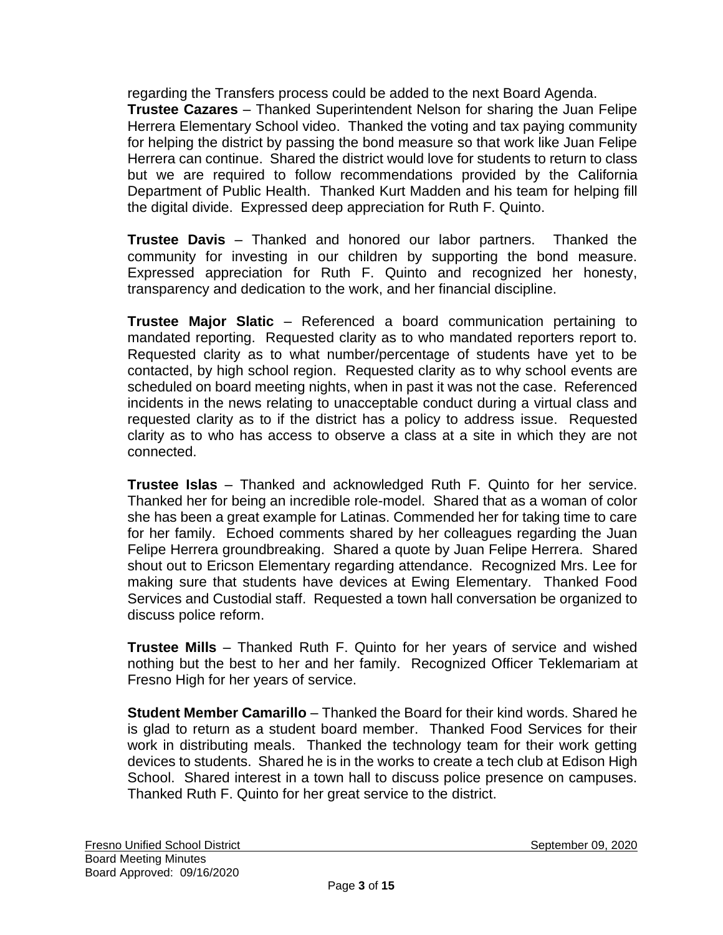regarding the Transfers process could be added to the next Board Agenda. **Trustee Cazares** – Thanked Superintendent Nelson for sharing the Juan Felipe Herrera Elementary School video. Thanked the voting and tax paying community for helping the district by passing the bond measure so that work like Juan Felipe Herrera can continue. Shared the district would love for students to return to class but we are required to follow recommendations provided by the California Department of Public Health. Thanked Kurt Madden and his team for helping fill the digital divide. Expressed deep appreciation for Ruth F. Quinto.

**Trustee Davis** – Thanked and honored our labor partners. Thanked the community for investing in our children by supporting the bond measure. Expressed appreciation for Ruth F. Quinto and recognized her honesty, transparency and dedication to the work, and her financial discipline.

**Trustee Major Slatic** – Referenced a board communication pertaining to mandated reporting. Requested clarity as to who mandated reporters report to. Requested clarity as to what number/percentage of students have yet to be contacted, by high school region. Requested clarity as to why school events are scheduled on board meeting nights, when in past it was not the case. Referenced incidents in the news relating to unacceptable conduct during a virtual class and requested clarity as to if the district has a policy to address issue. Requested clarity as to who has access to observe a class at a site in which they are not connected.

**Trustee Islas** – Thanked and acknowledged Ruth F. Quinto for her service. Thanked her for being an incredible role-model. Shared that as a woman of color she has been a great example for Latinas. Commended her for taking time to care for her family. Echoed comments shared by her colleagues regarding the Juan Felipe Herrera groundbreaking. Shared a quote by Juan Felipe Herrera. Shared shout out to Ericson Elementary regarding attendance. Recognized Mrs. Lee for making sure that students have devices at Ewing Elementary. Thanked Food Services and Custodial staff. Requested a town hall conversation be organized to discuss police reform.

**Trustee Mills** – Thanked Ruth F. Quinto for her years of service and wished nothing but the best to her and her family. Recognized Officer Teklemariam at Fresno High for her years of service.

**Student Member Camarillo** – Thanked the Board for their kind words. Shared he is glad to return as a student board member. Thanked Food Services for their work in distributing meals. Thanked the technology team for their work getting devices to students. Shared he is in the works to create a tech club at Edison High School. Shared interest in a town hall to discuss police presence on campuses. Thanked Ruth F. Quinto for her great service to the district.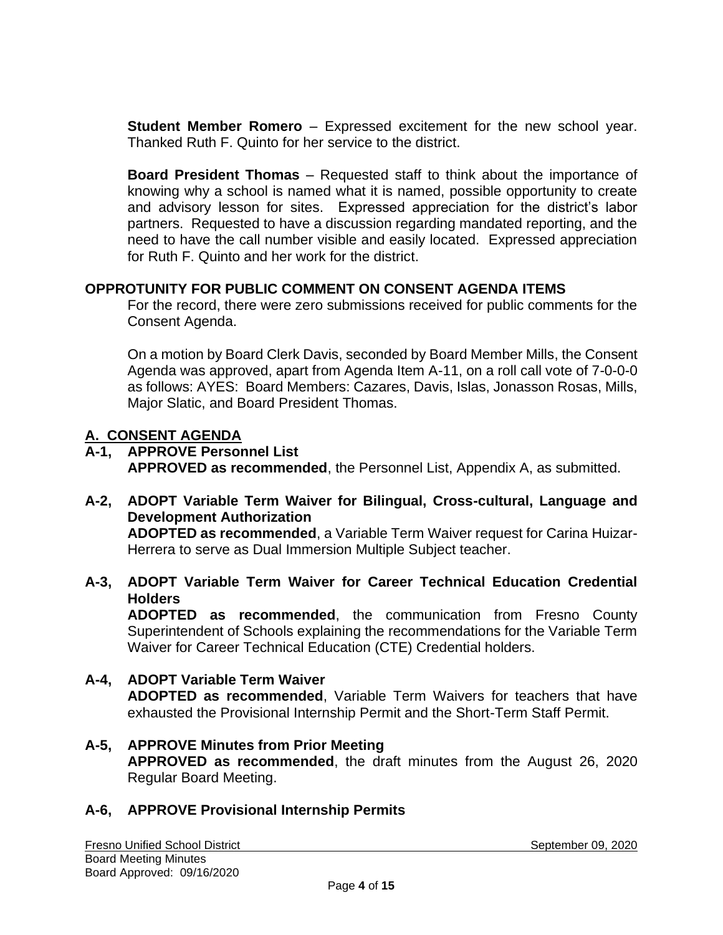**Student Member Romero** – Expressed excitement for the new school year. Thanked Ruth F. Quinto for her service to the district.

**Board President Thomas** – Requested staff to think about the importance of knowing why a school is named what it is named, possible opportunity to create and advisory lesson for sites. Expressed appreciation for the district's labor partners. Requested to have a discussion regarding mandated reporting, and the need to have the call number visible and easily located. Expressed appreciation for Ruth F. Quinto and her work for the district.

### **OPPROTUNITY FOR PUBLIC COMMENT ON CONSENT AGENDA ITEMS**

For the record, there were zero submissions received for public comments for the Consent Agenda.

On a motion by Board Clerk Davis, seconded by Board Member Mills, the Consent Agenda was approved, apart from Agenda Item A-11, on a roll call vote of 7-0-0-0 as follows: AYES: Board Members: Cazares, Davis, Islas, Jonasson Rosas, Mills, Major Slatic, and Board President Thomas.

### **A. CONSENT AGENDA**

**A-1, APPROVE Personnel List APPROVED as recommended**, the Personnel List, Appendix A, as submitted.

**A-2, ADOPT Variable Term Waiver for Bilingual, Cross-cultural, Language and Development Authorization ADOPTED as recommended**, a Variable Term Waiver request for Carina Huizar-Herrera to serve as Dual Immersion Multiple Subject teacher.

**A-3, ADOPT Variable Term Waiver for Career Technical Education Credential Holders**

**ADOPTED as recommended**, the communication from Fresno County Superintendent of Schools explaining the recommendations for the Variable Term Waiver for Career Technical Education (CTE) Credential holders.

- **A-4, ADOPT Variable Term Waiver ADOPTED as recommended**, Variable Term Waivers for teachers that have exhausted the Provisional Internship Permit and the Short-Term Staff Permit.
- **A-5, APPROVE Minutes from Prior Meeting APPROVED as recommended**, the draft minutes from the August 26, 2020 Regular Board Meeting.

## **A-6, APPROVE Provisional Internship Permits**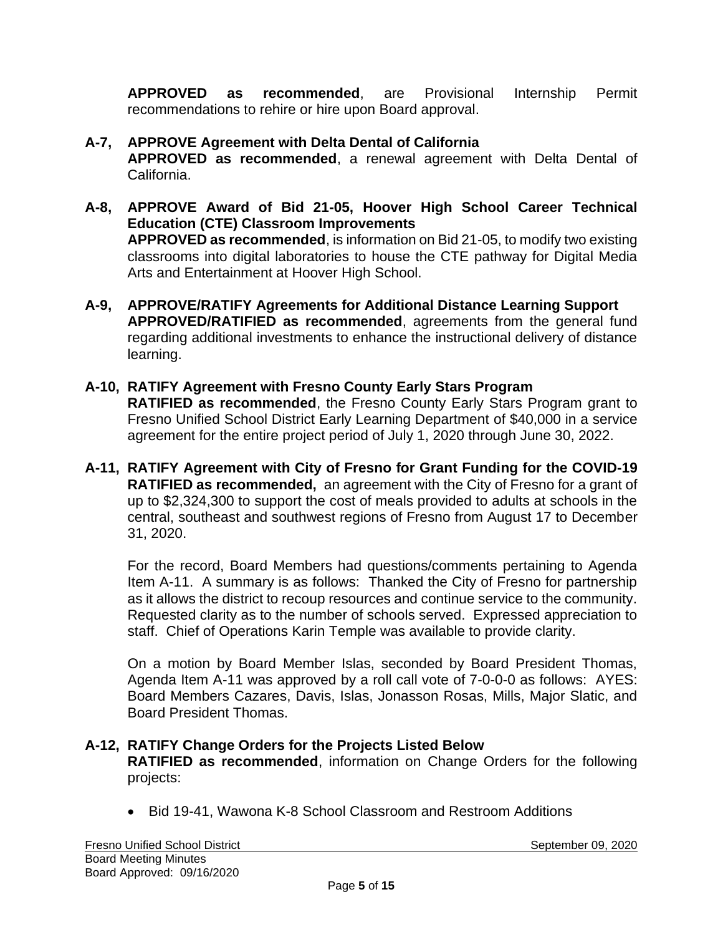**APPROVED as recommended**, are Provisional Internship Permit recommendations to rehire or hire upon Board approval.

## **A-7, APPROVE Agreement with Delta Dental of California**

**APPROVED as recommended**, a renewal agreement with Delta Dental of California.

- **A-8, APPROVE Award of Bid 21-05, Hoover High School Career Technical Education (CTE) Classroom Improvements APPROVED as recommended**, is information on Bid 21-05, to modify two existing classrooms into digital laboratories to house the CTE pathway for Digital Media Arts and Entertainment at Hoover High School.
- **A-9, APPROVE/RATIFY Agreements for Additional Distance Learning Support APPROVED/RATIFIED as recommended**, agreements from the general fund regarding additional investments to enhance the instructional delivery of distance learning.
- **A-10, RATIFY Agreement with Fresno County Early Stars Program RATIFIED as recommended**, the Fresno County Early Stars Program grant to Fresno Unified School District Early Learning Department of \$40,000 in a service agreement for the entire project period of July 1, 2020 through June 30, 2022.
- **A-11, RATIFY Agreement with City of Fresno for Grant Funding for the COVID-19 RATIFIED as recommended,** an agreement with the City of Fresno for a grant of up to \$2,324,300 to support the cost of meals provided to adults at schools in the central, southeast and southwest regions of Fresno from August 17 to December 31, 2020.

For the record, Board Members had questions/comments pertaining to Agenda Item A-11. A summary is as follows: Thanked the City of Fresno for partnership as it allows the district to recoup resources and continue service to the community. Requested clarity as to the number of schools served. Expressed appreciation to staff. Chief of Operations Karin Temple was available to provide clarity.

On a motion by Board Member Islas, seconded by Board President Thomas, Agenda Item A-11 was approved by a roll call vote of 7-0-0-0 as follows: AYES: Board Members Cazares, Davis, Islas, Jonasson Rosas, Mills, Major Slatic, and Board President Thomas.

### **A-12, RATIFY Change Orders for the Projects Listed Below**

**RATIFIED as recommended**, information on Change Orders for the following projects:

• Bid 19-41, Wawona K-8 School Classroom and Restroom Additions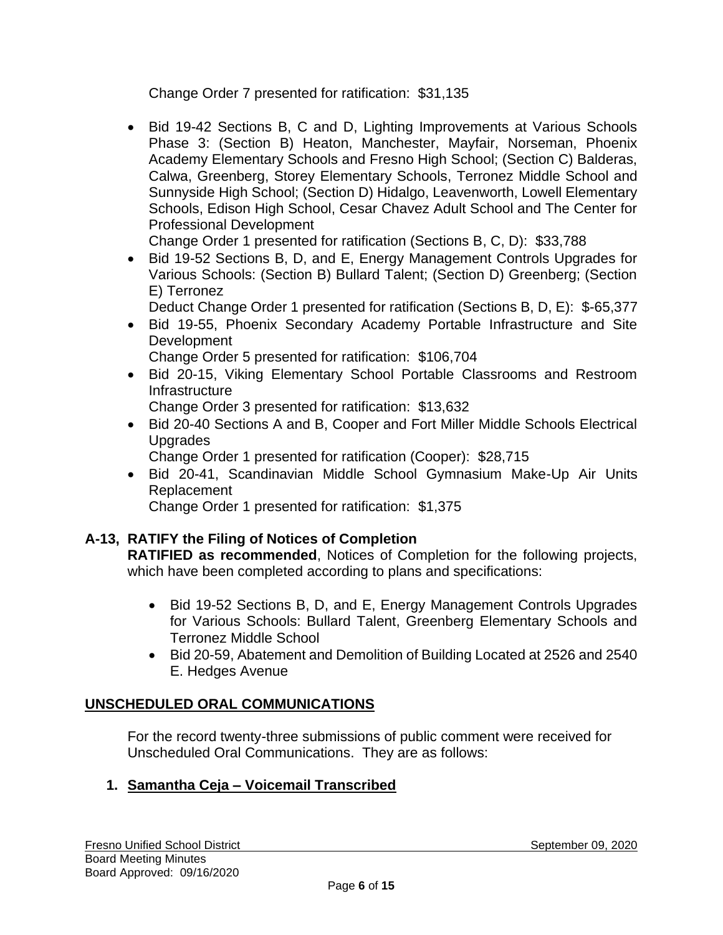Change Order 7 presented for ratification: \$31,135

• Bid 19-42 Sections B, C and D, Lighting Improvements at Various Schools Phase 3: (Section B) Heaton, Manchester, Mayfair, Norseman, Phoenix Academy Elementary Schools and Fresno High School; (Section C) Balderas, Calwa, Greenberg, Storey Elementary Schools, Terronez Middle School and Sunnyside High School; (Section D) Hidalgo, Leavenworth, Lowell Elementary Schools, Edison High School, Cesar Chavez Adult School and The Center for Professional Development

Change Order 1 presented for ratification (Sections B, C, D): \$33,788

• Bid 19-52 Sections B, D, and E, Energy Management Controls Upgrades for Various Schools: (Section B) Bullard Talent; (Section D) Greenberg; (Section E) Terronez

Deduct Change Order 1 presented for ratification (Sections B, D, E): \$-65,377

• Bid 19-55, Phoenix Secondary Academy Portable Infrastructure and Site **Development** 

Change Order 5 presented for ratification: \$106,704

• Bid 20-15, Viking Elementary School Portable Classrooms and Restroom Infrastructure

Change Order 3 presented for ratification: \$13,632

• Bid 20-40 Sections A and B, Cooper and Fort Miller Middle Schools Electrical Upgrades

Change Order 1 presented for ratification (Cooper): \$28,715

• Bid 20-41, Scandinavian Middle School Gymnasium Make-Up Air Units Replacement

Change Order 1 presented for ratification: \$1,375

## **A-13, RATIFY the Filing of Notices of Completion**

**RATIFIED as recommended**, Notices of Completion for the following projects, which have been completed according to plans and specifications:

- Bid 19-52 Sections B, D, and E, Energy Management Controls Upgrades for Various Schools: Bullard Talent, Greenberg Elementary Schools and Terronez Middle School
- Bid 20-59, Abatement and Demolition of Building Located at 2526 and 2540 E. Hedges Avenue

## **UNSCHEDULED ORAL COMMUNICATIONS**

For the record twenty-three submissions of public comment were received for Unscheduled Oral Communications. They are as follows:

## **1. Samantha Ceja – Voicemail Transcribed**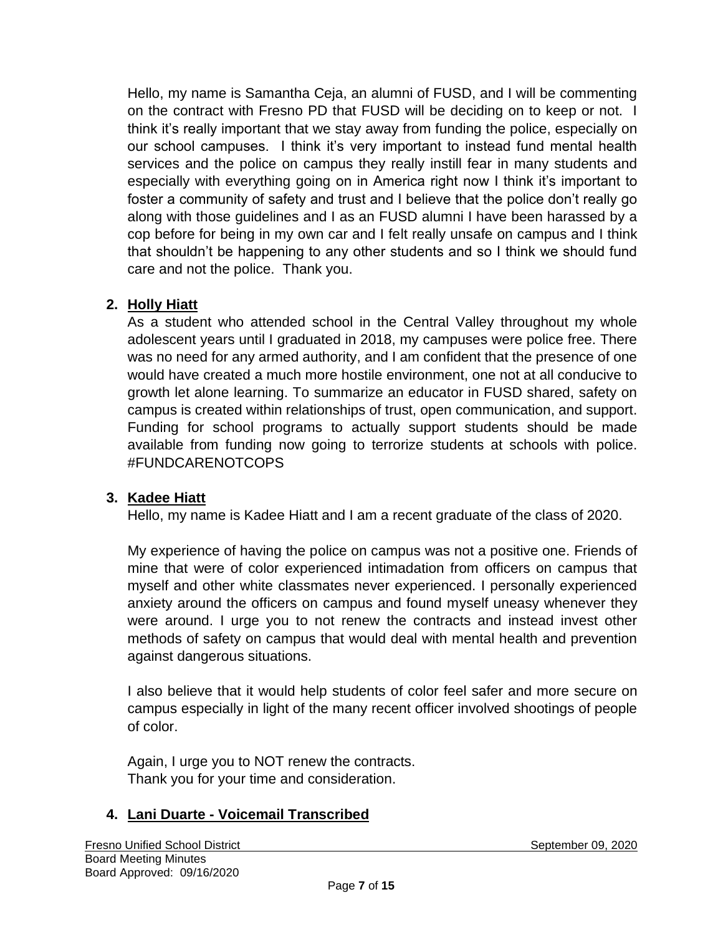Hello, my name is Samantha Ceja, an alumni of FUSD, and I will be commenting on the contract with Fresno PD that FUSD will be deciding on to keep or not. I think it's really important that we stay away from funding the police, especially on our school campuses. I think it's very important to instead fund mental health services and the police on campus they really instill fear in many students and especially with everything going on in America right now I think it's important to foster a community of safety and trust and I believe that the police don't really go along with those guidelines and I as an FUSD alumni I have been harassed by a cop before for being in my own car and I felt really unsafe on campus and I think that shouldn't be happening to any other students and so I think we should fund care and not the police. Thank you.

## **2. Holly Hiatt**

As a student who attended school in the Central Valley throughout my whole adolescent years until I graduated in 2018, my campuses were police free. There was no need for any armed authority, and I am confident that the presence of one would have created a much more hostile environment, one not at all conducive to growth let alone learning. To summarize an educator in FUSD shared, safety on campus is created within relationships of trust, open communication, and support. Funding for school programs to actually support students should be made available from funding now going to terrorize students at schools with police. #FUNDCARENOTCOPS

## **3. Kadee Hiatt**

Hello, my name is Kadee Hiatt and I am a recent graduate of the class of 2020.

My experience of having the police on campus was not a positive one. Friends of mine that were of color experienced intimadation from officers on campus that myself and other white classmates never experienced. I personally experienced anxiety around the officers on campus and found myself uneasy whenever they were around. I urge you to not renew the contracts and instead invest other methods of safety on campus that would deal with mental health and prevention against dangerous situations.

I also believe that it would help students of color feel safer and more secure on campus especially in light of the many recent officer involved shootings of people of color.

Again, I urge you to NOT renew the contracts. Thank you for your time and consideration.

## **4. Lani Duarte - Voicemail Transcribed**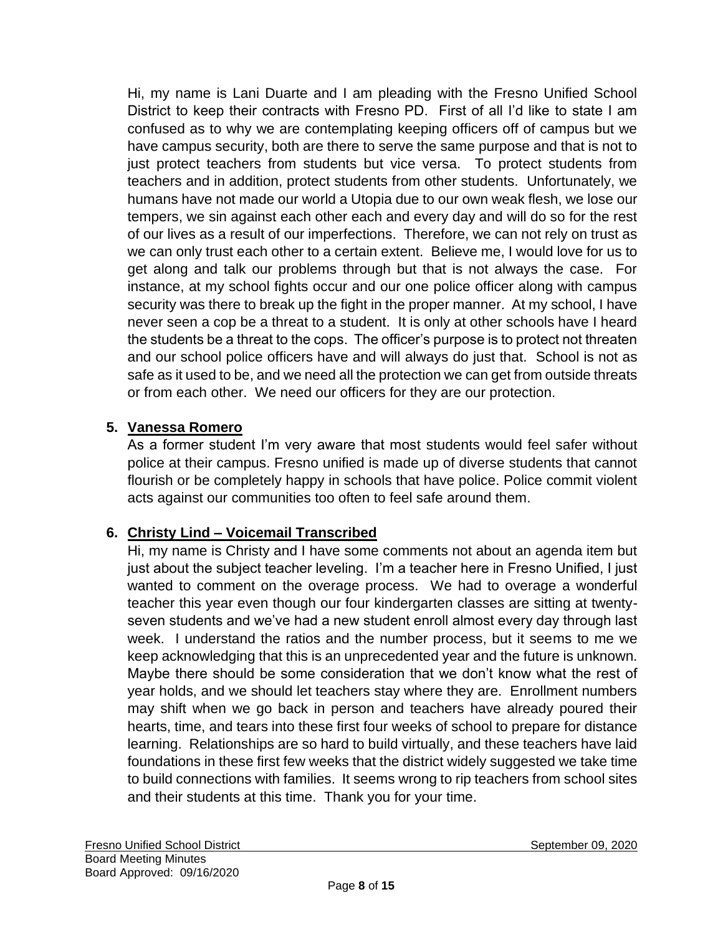Hi, my name is Lani Duarte and I am pleading with the Fresno Unified School District to keep their contracts with Fresno PD. First of all I'd like to state I am confused as to why we are contemplating keeping officers off of campus but we have campus security, both are there to serve the same purpose and that is not to just protect teachers from students but vice versa. To protect students from teachers and in addition, protect students from other students. Unfortunately, we humans have not made our world a Utopia due to our own weak flesh, we lose our tempers, we sin against each other each and every day and will do so for the rest of our lives as a result of our imperfections. Therefore, we can not rely on trust as we can only trust each other to a certain extent. Believe me, I would love for us to get along and talk our problems through but that is not always the case. For instance, at my school fights occur and our one police officer along with campus security was there to break up the fight in the proper manner. At my school, I have never seen a cop be a threat to a student. It is only at other schools have I heard the students be a threat to the cops. The officer's purpose is to protect not threaten and our school police officers have and will always do just that. School is not as safe as it used to be, and we need all the protection we can get from outside threats or from each other. We need our officers for they are our protection.

# **5. Vanessa Romero**

As a former student I'm very aware that most students would feel safer without police at their campus. Fresno unified is made up of diverse students that cannot flourish or be completely happy in schools that have police. Police commit violent acts against our communities too often to feel safe around them.

## **6. Christy Lind – Voicemail Transcribed**

Hi, my name is Christy and I have some comments not about an agenda item but just about the subject teacher leveling. I'm a teacher here in Fresno Unified, I just wanted to comment on the overage process. We had to overage a wonderful teacher this year even though our four kindergarten classes are sitting at twentyseven students and we've had a new student enroll almost every day through last week. I understand the ratios and the number process, but it seems to me we keep acknowledging that this is an unprecedented year and the future is unknown. Maybe there should be some consideration that we don't know what the rest of year holds, and we should let teachers stay where they are. Enrollment numbers may shift when we go back in person and teachers have already poured their hearts, time, and tears into these first four weeks of school to prepare for distance learning. Relationships are so hard to build virtually, and these teachers have laid foundations in these first few weeks that the district widely suggested we take time to build connections with families. It seems wrong to rip teachers from school sites and their students at this time. Thank you for your time.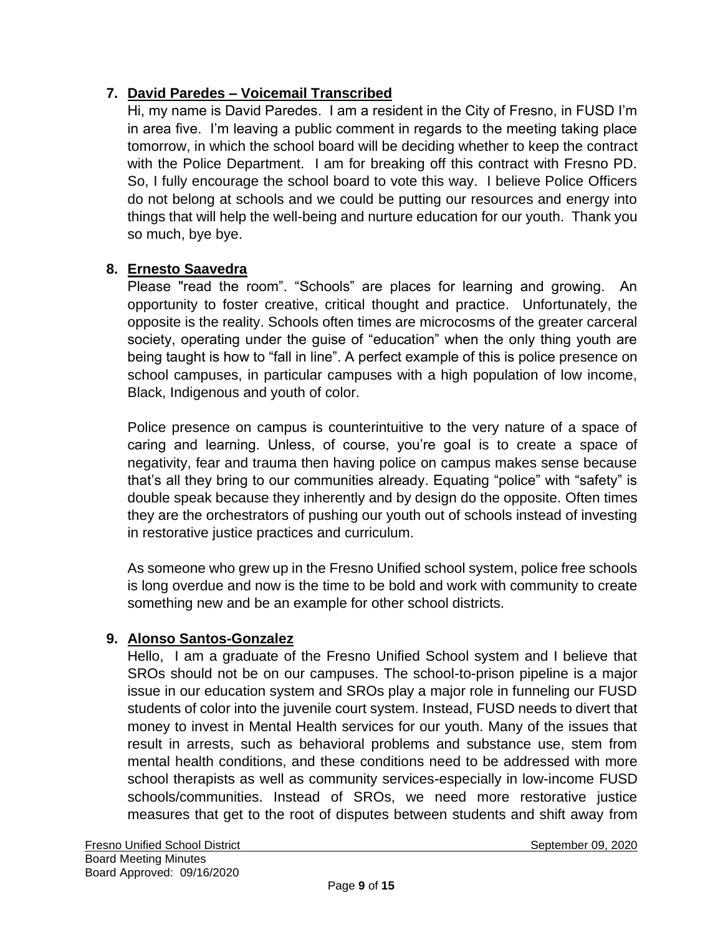## **7. David Paredes – Voicemail Transcribed**

Hi, my name is David Paredes. I am a resident in the City of Fresno, in FUSD I'm in area five. I'm leaving a public comment in regards to the meeting taking place tomorrow, in which the school board will be deciding whether to keep the contract with the Police Department. I am for breaking off this contract with Fresno PD. So, I fully encourage the school board to vote this way. I believe Police Officers do not belong at schools and we could be putting our resources and energy into things that will help the well-being and nurture education for our youth. Thank you so much, bye bye.

## **8. Ernesto Saavedra**

Please "read the room". "Schools" are places for learning and growing. An opportunity to foster creative, critical thought and practice. Unfortunately, the opposite is the reality. Schools often times are microcosms of the greater carceral society, operating under the guise of "education" when the only thing youth are being taught is how to "fall in line". A perfect example of this is police presence on school campuses, in particular campuses with a high population of low income, Black, Indigenous and youth of color.

Police presence on campus is counterintuitive to the very nature of a space of caring and learning. Unless, of course, you're goal is to create a space of negativity, fear and trauma then having police on campus makes sense because that's all they bring to our communities already. Equating "police" with "safety" is double speak because they inherently and by design do the opposite. Often times they are the orchestrators of pushing our youth out of schools instead of investing in restorative justice practices and curriculum.

As someone who grew up in the Fresno Unified school system, police free schools is long overdue and now is the time to be bold and work with community to create something new and be an example for other school districts.

## **9. Alonso Santos-Gonzalez**

Hello, I am a graduate of the Fresno Unified School system and I believe that SROs should not be on our campuses. The school-to-prison pipeline is a major issue in our education system and SROs play a major role in funneling our FUSD students of color into the juvenile court system. Instead, FUSD needs to divert that money to invest in Mental Health services for our youth. Many of the issues that result in arrests, such as behavioral problems and substance use, stem from mental health conditions, and these conditions need to be addressed with more school therapists as well as community services-especially in low-income FUSD schools/communities. Instead of SROs, we need more restorative justice measures that get to the root of disputes between students and shift away from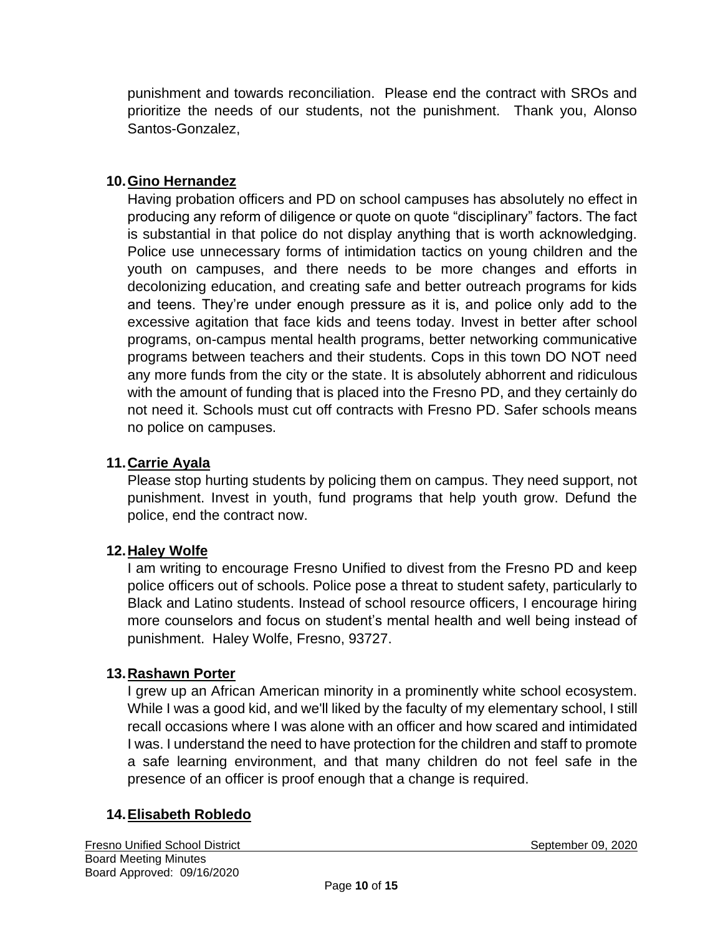punishment and towards reconciliation. Please end the contract with SROs and prioritize the needs of our students, not the punishment. Thank you, Alonso Santos-Gonzalez,

### **10.Gino Hernandez**

Having probation officers and PD on school campuses has absolutely no effect in producing any reform of diligence or quote on quote "disciplinary" factors. The fact is substantial in that police do not display anything that is worth acknowledging. Police use unnecessary forms of intimidation tactics on young children and the youth on campuses, and there needs to be more changes and efforts in decolonizing education, and creating safe and better outreach programs for kids and teens. They're under enough pressure as it is, and police only add to the excessive agitation that face kids and teens today. Invest in better after school programs, on-campus mental health programs, better networking communicative programs between teachers and their students. Cops in this town DO NOT need any more funds from the city or the state. It is absolutely abhorrent and ridiculous with the amount of funding that is placed into the Fresno PD, and they certainly do not need it. Schools must cut off contracts with Fresno PD. Safer schools means no police on campuses.

### **11.Carrie Ayala**

Please stop hurting students by policing them on campus. They need support, not punishment. Invest in youth, fund programs that help youth grow. Defund the police, end the contract now.

### **12.Haley Wolfe**

I am writing to encourage Fresno Unified to divest from the Fresno PD and keep police officers out of schools. Police pose a threat to student safety, particularly to Black and Latino students. Instead of school resource officers, I encourage hiring more counselors and focus on student's mental health and well being instead of punishment. Haley Wolfe, Fresno, 93727.

### **13.Rashawn Porter**

I grew up an African American minority in a prominently white school ecosystem. While I was a good kid, and we'll liked by the faculty of my elementary school, I still recall occasions where I was alone with an officer and how scared and intimidated I was. I understand the need to have protection for the children and staff to promote a safe learning environment, and that many children do not feel safe in the presence of an officer is proof enough that a change is required.

### **14.Elisabeth Robledo**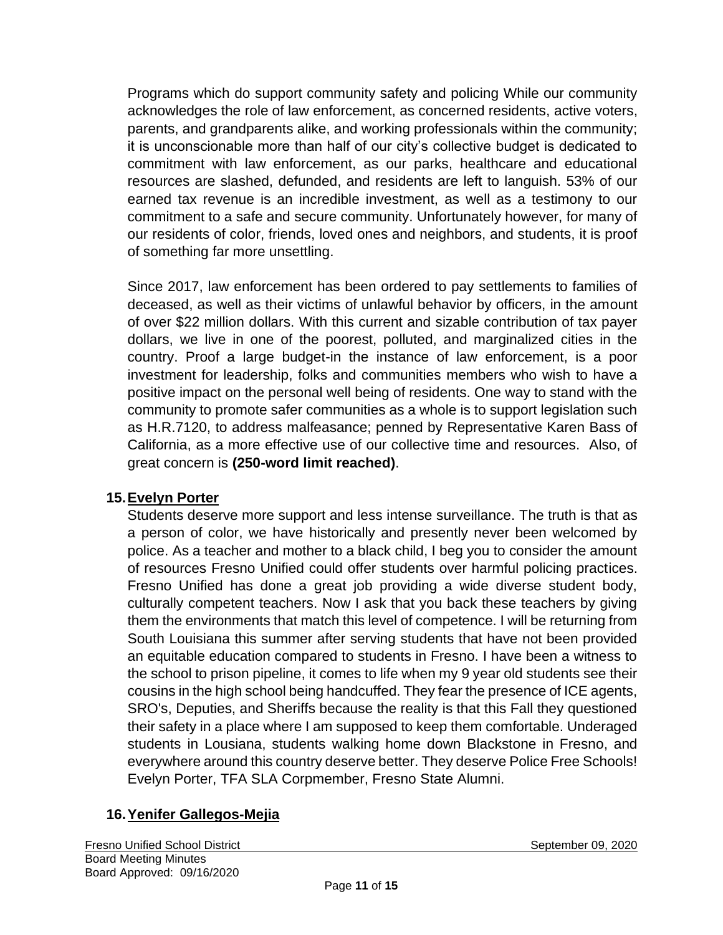Programs which do support community safety and policing While our community acknowledges the role of law enforcement, as concerned residents, active voters, parents, and grandparents alike, and working professionals within the community; it is unconscionable more than half of our city's collective budget is dedicated to commitment with law enforcement, as our parks, healthcare and educational resources are slashed, defunded, and residents are left to languish. 53% of our earned tax revenue is an incredible investment, as well as a testimony to our commitment to a safe and secure community. Unfortunately however, for many of our residents of color, friends, loved ones and neighbors, and students, it is proof of something far more unsettling.

Since 2017, law enforcement has been ordered to pay settlements to families of deceased, as well as their victims of unlawful behavior by officers, in the amount of over \$22 million dollars. With this current and sizable contribution of tax payer dollars, we live in one of the poorest, polluted, and marginalized cities in the country. Proof a large budget-in the instance of law enforcement, is a poor investment for leadership, folks and communities members who wish to have a positive impact on the personal well being of residents. One way to stand with the community to promote safer communities as a whole is to support legislation such as H.R.7120, to address malfeasance; penned by Representative Karen Bass of California, as a more effective use of our collective time and resources. Also, of great concern is **(250-word limit reached)**.

### **15.Evelyn Porter**

Students deserve more support and less intense surveillance. The truth is that as a person of color, we have historically and presently never been welcomed by police. As a teacher and mother to a black child, I beg you to consider the amount of resources Fresno Unified could offer students over harmful policing practices. Fresno Unified has done a great job providing a wide diverse student body, culturally competent teachers. Now I ask that you back these teachers by giving them the environments that match this level of competence. I will be returning from South Louisiana this summer after serving students that have not been provided an equitable education compared to students in Fresno. I have been a witness to the school to prison pipeline, it comes to life when my 9 year old students see their cousins in the high school being handcuffed. They fear the presence of ICE agents, SRO's, Deputies, and Sheriffs because the reality is that this Fall they questioned their safety in a place where I am supposed to keep them comfortable. Underaged students in Lousiana, students walking home down Blackstone in Fresno, and everywhere around this country deserve better. They deserve Police Free Schools! Evelyn Porter, TFA SLA Corpmember, Fresno State Alumni.

## **16.Yenifer Gallegos-Mejia**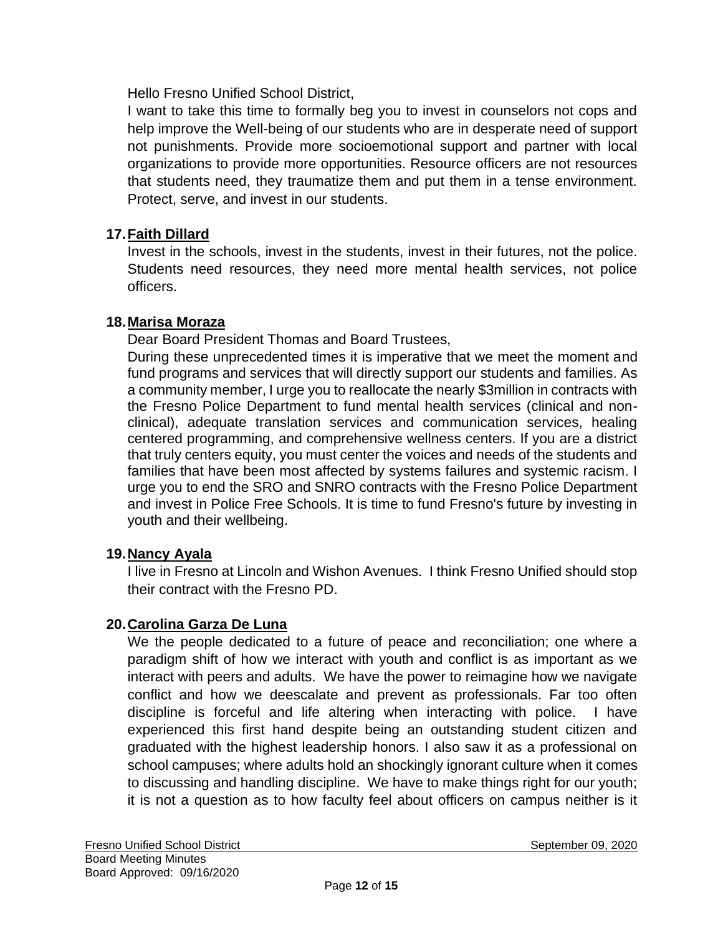Hello Fresno Unified School District,

I want to take this time to formally beg you to invest in counselors not cops and help improve the Well-being of our students who are in desperate need of support not punishments. Provide more socioemotional support and partner with local organizations to provide more opportunities. Resource officers are not resources that students need, they traumatize them and put them in a tense environment. Protect, serve, and invest in our students.

## **17.Faith Dillard**

Invest in the schools, invest in the students, invest in their futures, not the police. Students need resources, they need more mental health services, not police officers.

### **18.Marisa Moraza**

Dear Board President Thomas and Board Trustees,

During these unprecedented times it is imperative that we meet the moment and fund programs and services that will directly support our students and families. As a community member, I urge you to reallocate the nearly \$3million in contracts with the Fresno Police Department to fund mental health services (clinical and nonclinical), adequate translation services and communication services, healing centered programming, and comprehensive wellness centers. If you are a district that truly centers equity, you must center the voices and needs of the students and families that have been most affected by systems failures and systemic racism. I urge you to end the SRO and SNRO contracts with the Fresno Police Department and invest in Police Free Schools. It is time to fund Fresno's future by investing in youth and their wellbeing.

## **19.Nancy Ayala**

I live in Fresno at Lincoln and Wishon Avenues. I think Fresno Unified should stop their contract with the Fresno PD.

### **20.Carolina Garza De Luna**

We the people dedicated to a future of peace and reconciliation; one where a paradigm shift of how we interact with youth and conflict is as important as we interact with peers and adults. We have the power to reimagine how we navigate conflict and how we deescalate and prevent as professionals. Far too often discipline is forceful and life altering when interacting with police. I have experienced this first hand despite being an outstanding student citizen and graduated with the highest leadership honors. I also saw it as a professional on school campuses; where adults hold an shockingly ignorant culture when it comes to discussing and handling discipline. We have to make things right for our youth; it is not a question as to how faculty feel about officers on campus neither is it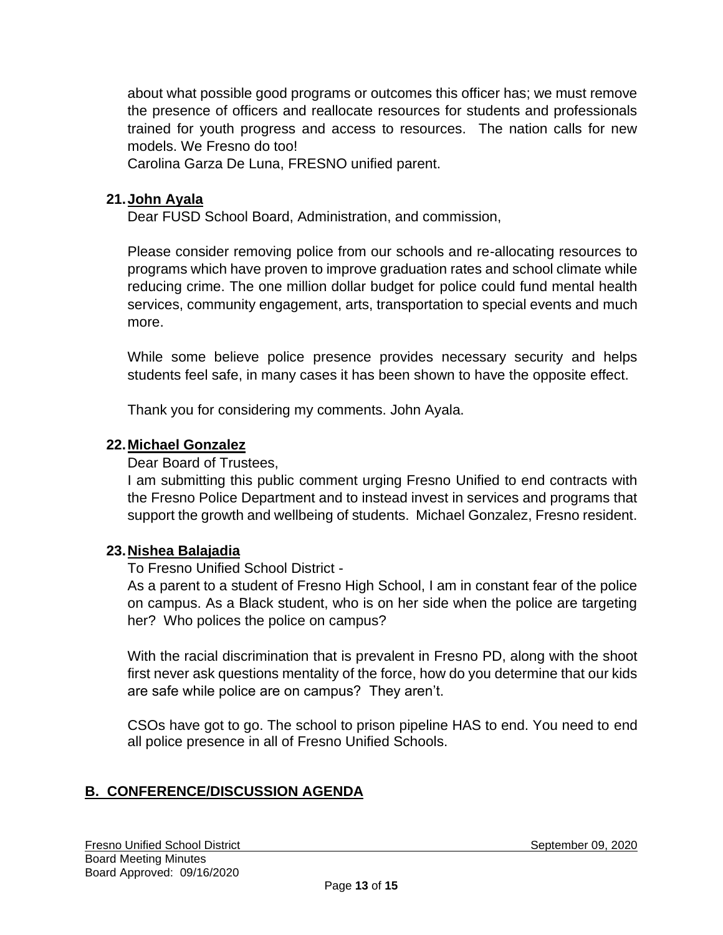about what possible good programs or outcomes this officer has; we must remove the presence of officers and reallocate resources for students and professionals trained for youth progress and access to resources. The nation calls for new models. We Fresno do too!

Carolina Garza De Luna, FRESNO unified parent.

#### **21.John Ayala**

Dear FUSD School Board, Administration, and commission,

Please consider removing police from our schools and re-allocating resources to programs which have proven to improve graduation rates and school climate while reducing crime. The one million dollar budget for police could fund mental health services, community engagement, arts, transportation to special events and much more.

While some believe police presence provides necessary security and helps students feel safe, in many cases it has been shown to have the opposite effect.

Thank you for considering my comments. John Ayala.

#### **22.Michael Gonzalez**

Dear Board of Trustees,

I am submitting this public comment urging Fresno Unified to end contracts with the Fresno Police Department and to instead invest in services and programs that support the growth and wellbeing of students. Michael Gonzalez, Fresno resident.

#### **23.Nishea Balajadia**

To Fresno Unified School District -

As a parent to a student of Fresno High School, I am in constant fear of the police on campus. As a Black student, who is on her side when the police are targeting her? Who polices the police on campus?

With the racial discrimination that is prevalent in Fresno PD, along with the shoot first never ask questions mentality of the force, how do you determine that our kids are safe while police are on campus? They aren't.

CSOs have got to go. The school to prison pipeline HAS to end. You need to end all police presence in all of Fresno Unified Schools.

### **B. CONFERENCE/DISCUSSION AGENDA**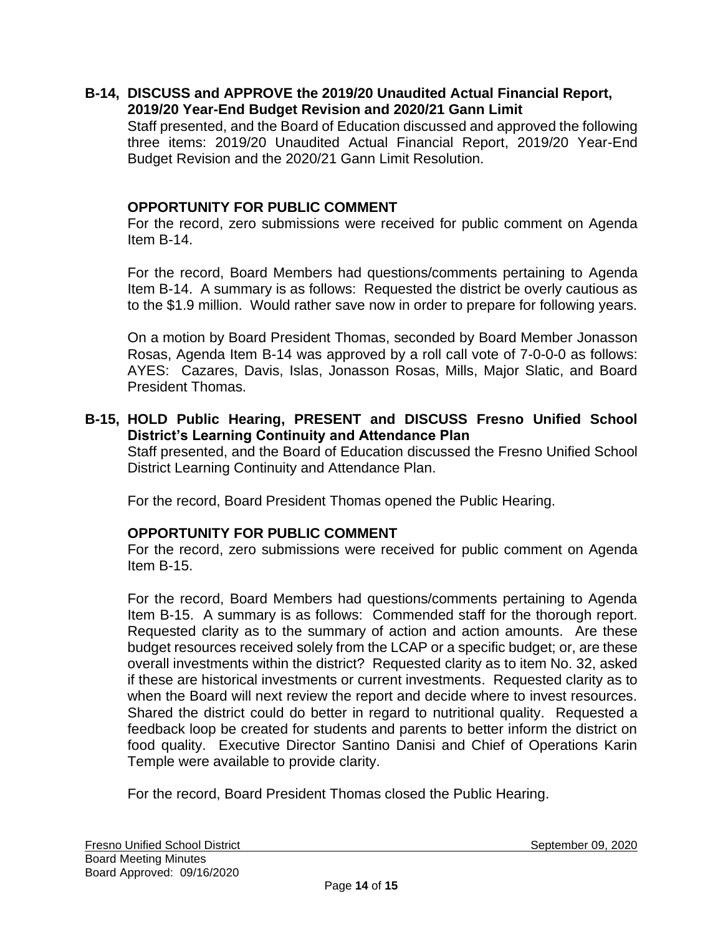#### **B-14, DISCUSS and APPROVE the 2019/20 Unaudited Actual Financial Report, 2019/20 Year-End Budget Revision and 2020/21 Gann Limit**

Staff presented, and the Board of Education discussed and approved the following three items: 2019/20 Unaudited Actual Financial Report, 2019/20 Year-End Budget Revision and the 2020/21 Gann Limit Resolution.

#### **OPPORTUNITY FOR PUBLIC COMMENT**

For the record, zero submissions were received for public comment on Agenda Item B-14.

For the record, Board Members had questions/comments pertaining to Agenda Item B-14. A summary is as follows: Requested the district be overly cautious as to the \$1.9 million. Would rather save now in order to prepare for following years.

On a motion by Board President Thomas, seconded by Board Member Jonasson Rosas, Agenda Item B-14 was approved by a roll call vote of 7-0-0-0 as follows: AYES: Cazares, Davis, Islas, Jonasson Rosas, Mills, Major Slatic, and Board President Thomas.

#### **B-15, HOLD Public Hearing, PRESENT and DISCUSS Fresno Unified School District's Learning Continuity and Attendance Plan**

Staff presented, and the Board of Education discussed the Fresno Unified School District Learning Continuity and Attendance Plan.

For the record, Board President Thomas opened the Public Hearing.

### **OPPORTUNITY FOR PUBLIC COMMENT**

For the record, zero submissions were received for public comment on Agenda Item B-15.

For the record, Board Members had questions/comments pertaining to Agenda Item B-15. A summary is as follows: Commended staff for the thorough report. Requested clarity as to the summary of action and action amounts. Are these budget resources received solely from the LCAP or a specific budget; or, are these overall investments within the district? Requested clarity as to item No. 32, asked if these are historical investments or current investments. Requested clarity as to when the Board will next review the report and decide where to invest resources. Shared the district could do better in regard to nutritional quality. Requested a feedback loop be created for students and parents to better inform the district on food quality. Executive Director Santino Danisi and Chief of Operations Karin Temple were available to provide clarity.

For the record, Board President Thomas closed the Public Hearing.